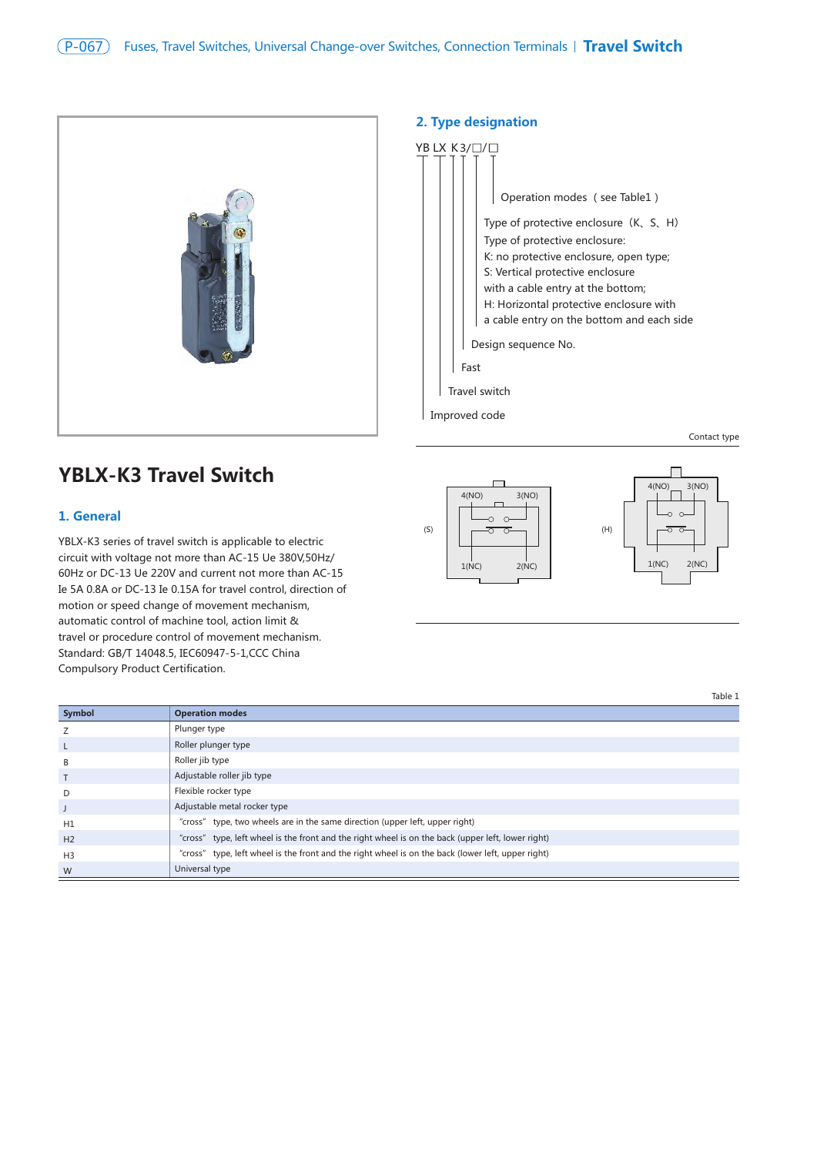

# YB LX K3/□/ Operation modes (see Table1) Type of protective enclosure  $(K, S, H)$

**2. Type designation** 

Improved code

Type of protective enclosure: K: no protective enclosure, open type; S: Vertical protective enclosure with a cable entry at the bottom; H: Horizontal protective enclosure with a cable entry on the bottom and each side Design sequence No. Fast Travel switch

Contact type

# **YBLX-K3 Travel Switch**

#### **1. General**

YBLX-K3 series of travel switch is applicable to electric circuit with voltage not more than AC-15 Ue 380V,50Hz/ 60Hz or DC-13 Ue 220V and current not more than AC-15 Ie 5A 0.8A or DC-13 Ie 0.15A for travel control, direction of motion or speed change of movement mechanism, automatic control of machine tool, action limit & travel or procedure control of movement mechanism. Standard: GB/T 14048.5, IEC60947-5-1,CCC China Compulsory Product Certification.



|                | Table 1                                                                                            |
|----------------|----------------------------------------------------------------------------------------------------|
| Symbol         | <b>Operation modes</b>                                                                             |
| Z              | Plunger type                                                                                       |
| L              | Roller plunger type                                                                                |
| B              | Roller jib type                                                                                    |
| $\mathsf{T}$   | Adjustable roller jib type                                                                         |
| D              | Flexible rocker type                                                                               |
| J              | Adjustable metal rocker type                                                                       |
| H1             | "cross" type, two wheels are in the same direction (upper left, upper right)                       |
| H <sub>2</sub> | "cross" type, left wheel is the front and the right wheel is on the back (upper left, lower right) |
| H <sub>3</sub> | "cross" type, left wheel is the front and the right wheel is on the back (lower left, upper right) |
| W              | Universal type                                                                                     |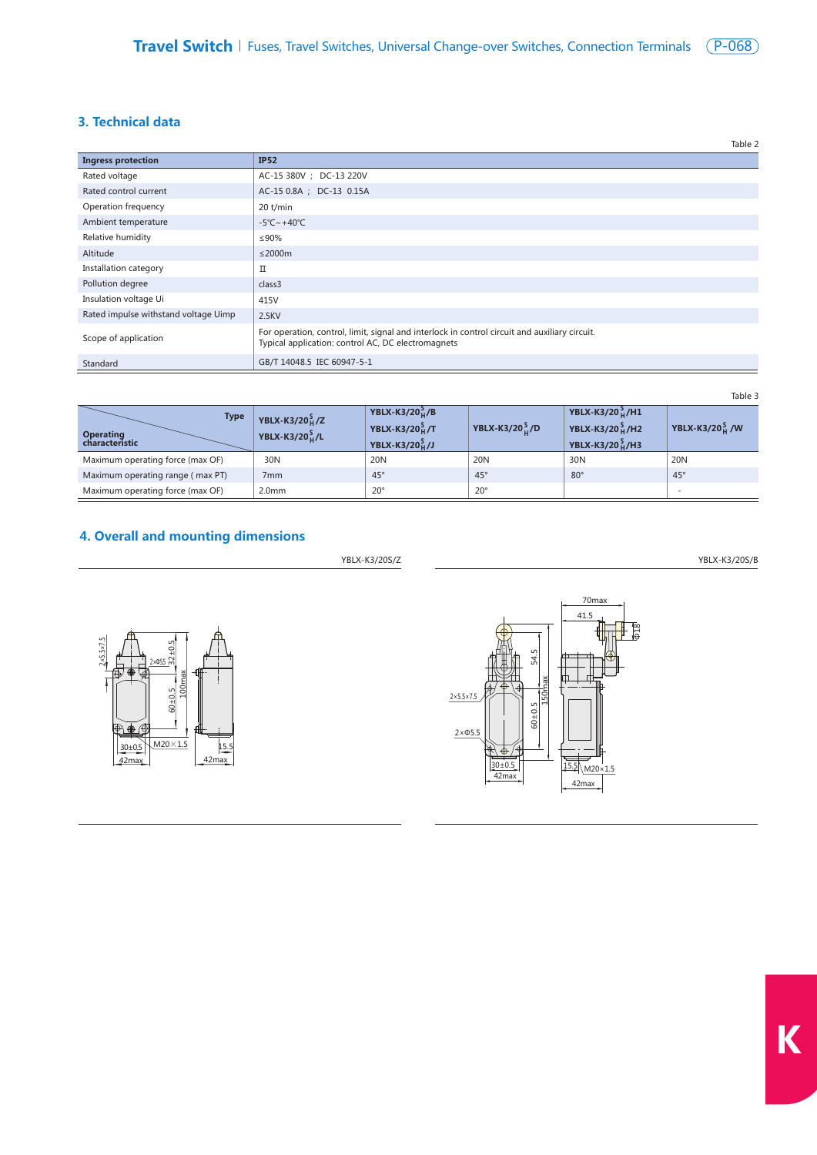## **3. Technical data**

|                                      | Table 2                                                                                                                                             |
|--------------------------------------|-----------------------------------------------------------------------------------------------------------------------------------------------------|
| <b>Ingress protection</b>            | <b>IP52</b>                                                                                                                                         |
| Rated voltage                        | AC-15 380V ; DC-13 220V                                                                                                                             |
| Rated control current                | AC-15 0.8A ; DC-13 0.15A                                                                                                                            |
| Operation frequency                  | $20$ t/min                                                                                                                                          |
| Ambient temperature                  | $-5^{\circ}$ C ~ +40 $^{\circ}$ C                                                                                                                   |
| Relative humidity                    | ≤90%                                                                                                                                                |
| Altitude                             | $\leq$ 2000m                                                                                                                                        |
| Installation category                | П                                                                                                                                                   |
| Pollution degree                     | class3                                                                                                                                              |
| Insulation voltage Ui                | 415V                                                                                                                                                |
| Rated impulse withstand voltage Uimp | 2.5KV                                                                                                                                               |
| Scope of application                 | For operation, control, limit, signal and interlock in control circuit and auxiliary circuit.<br>Typical application: control AC, DC electromagnets |
| Standard                             | GB/T 14048.5 IEC 60947-5-1                                                                                                                          |

Table 3

| <b>Type</b><br><b>Operating</b><br>characteristic | YBLX-K3/20 $_{\text{H}}^{\text{S}}$ /Z<br>YBLX-K3/20 $_{\rm H}^{\rm S}$ /L | YBLX-K3/20 $_{\text{H}}^{5}$ /B<br>YBLX-K3/20 $_{\rm u}^{\rm S}$ /T<br>YBLX-K3/20 $_{\rm h}^{\rm S}$ /J | YBLX-K3/20 $_{\text{u}}^{5}$ /D | YBLX-K3/20 $_{\rm H}^{3}$ /H1<br><b>YBLX-K3/20</b> <sup>S</sup> <sub>H</sub> /H2<br>YBLX-K3/20 $_{\rm H}^{\rm S}$ /H3 | YBLX-K3/20 $_{\text{H}}^{\text{S}}$ /W |
|---------------------------------------------------|----------------------------------------------------------------------------|---------------------------------------------------------------------------------------------------------|---------------------------------|-----------------------------------------------------------------------------------------------------------------------|----------------------------------------|
| Maximum operating force (max OF)                  | 30N                                                                        | 20 <sub>N</sub>                                                                                         | 20N                             | 30 <sub>N</sub>                                                                                                       | 20 <sub>N</sub>                        |
| Maximum operating range (max PT)                  | 7 <sub>mm</sub>                                                            | $45^\circ$                                                                                              | $45^\circ$                      | $80^\circ$                                                                                                            | $45^\circ$                             |
| Maximum operating force (max OF)                  | 2.0 <sub>mm</sub>                                                          | $20^{\circ}$                                                                                            | $20^{\circ}$                    |                                                                                                                       |                                        |

## **4. Overall and mounting dimensions**

100max

60±0.5

 $\overline{\text{M20}\times 1.5}$ 

<u>2xΦ55</u>

42max 15.5

42max

30±0.5

×5.5×7.5

32±0.5



YBLX-K3/20S/Z YBLX-K3/20S/B